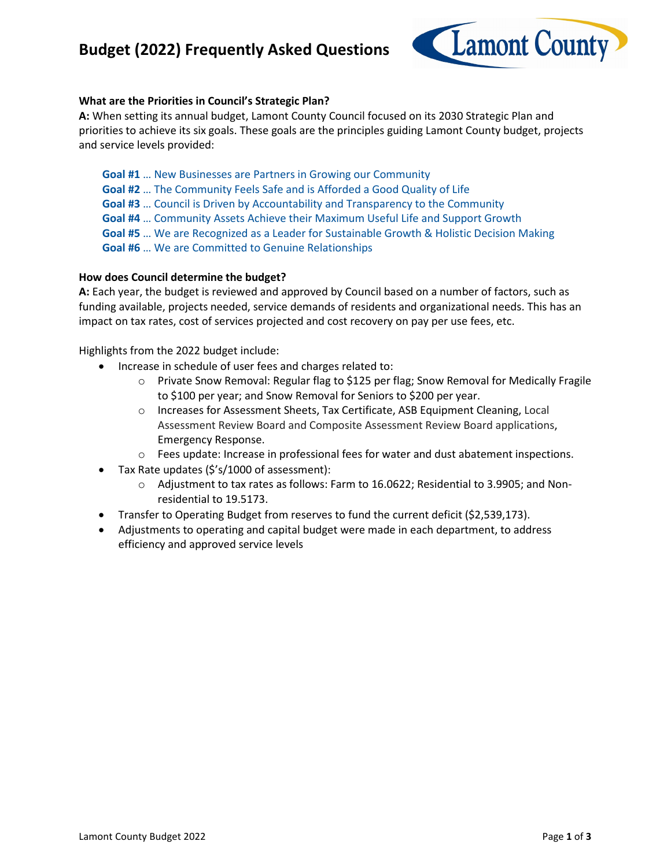## **Budget (2022) Frequently Asked Questions**



### **What are the Priorities in Council's Strategic Plan?**

**A:** When setting its annual budget, Lamont County Council focused on its 2030 Strategic Plan and priorities to achieve its six goals. These goals are the principles guiding Lamont County budget, projects and service levels provided:

- **Goal #1** … New Businesses are Partners in Growing our Community
- **Goal #2** … The Community Feels Safe and is Afforded a Good Quality of Life
- **Goal #3** … Council is Driven by Accountability and Transparency to the Community
- **Goal #4** … Community Assets Achieve their Maximum Useful Life and Support Growth
- **Goal #5** … We are Recognized as a Leader for Sustainable Growth & Holistic Decision Making
- **Goal #6** … We are Committed to Genuine Relationships

### **How does Council determine the budget?**

**A:** Each year, the budget is reviewed and approved by Council based on a number of factors, such as funding available, projects needed, service demands of residents and organizational needs. This has an impact on tax rates, cost of services projected and cost recovery on pay per use fees, etc.

Highlights from the 2022 budget include:

- Increase in schedule of user fees and charges related to:
	- o Private Snow Removal: Regular flag to \$125 per flag; Snow Removal for Medically Fragile to \$100 per year; and Snow Removal for Seniors to \$200 per year.
	- o Increases for Assessment Sheets, Tax Certificate, ASB Equipment Cleaning, Local Assessment Review Board and Composite Assessment Review Board applications, Emergency Response.
	- o Fees update: Increase in professional fees for water and dust abatement inspections.
- Tax Rate updates (\$'s/1000 of assessment):
	- o Adjustment to tax rates as follows: Farm to 16.0622; Residential to 3.9905; and Nonresidential to 19.5173.
- Transfer to Operating Budget from reserves to fund the current deficit (\$2,539,173).
- Adjustments to operating and capital budget were made in each department, to address efficiency and approved service levels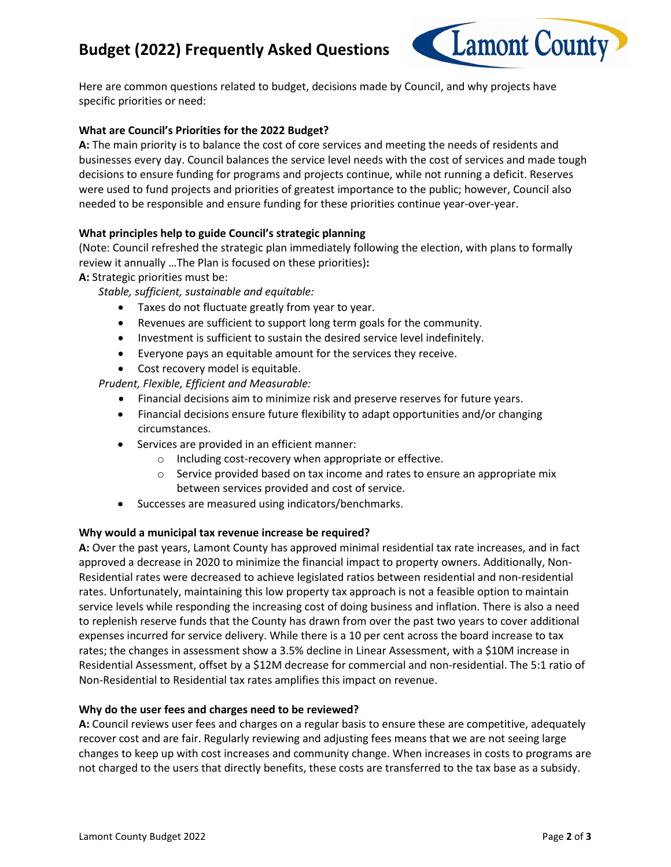# **Budget (2022) Frequently Asked Questions**



Here are common questions related to budget, decisions made by Council, and why projects have specific priorities or need:

### **What are Council's Priorities for the 2022 Budget?**

**A:** The main priority is to balance the cost of core services and meeting the needs of residents and businesses every day. Council balances the service level needs with the cost of services and made tough decisions to ensure funding for programs and projects continue, while not running a deficit. Reserves were used to fund projects and priorities of greatest importance to the public; however, Council also needed to be responsible and ensure funding for these priorities continue year-over-year.

### **What principles help to guide Council's strategic planning**

(Note: Council refreshed the strategic plan immediately following the election, with plans to formally review it annually …The Plan is focused on these priorities)**:**

**A:** Strategic priorities must be:

*Stable, sufficient, sustainable and equitable:*

- Taxes do not fluctuate greatly from year to year.
- Revenues are sufficient to support long term goals for the community.
- Investment is sufficient to sustain the desired service level indefinitely.
- Everyone pays an equitable amount for the services they receive.
- Cost recovery model is equitable.

*Prudent, Flexible, Efficient and Measurable:*

- Financial decisions aim to minimize risk and preserve reserves for future years.
- Financial decisions ensure future flexibility to adapt opportunities and/or changing circumstances.
- Services are provided in an efficient manner:
	- o Including cost-recovery when appropriate or effective.
	- o Service provided based on tax income and rates to ensure an appropriate mix between services provided and cost of service.
- Successes are measured using indicators/benchmarks.

### **Why would a municipal tax revenue increase be required?**

**A:** Over the past years, Lamont County has approved minimal residential tax rate increases, and in fact approved a decrease in 2020 to minimize the financial impact to property owners. Additionally, Non-Residential rates were decreased to achieve legislated ratios between residential and non-residential rates. Unfortunately, maintaining this low property tax approach is not a feasible option to maintain service levels while responding the increasing cost of doing business and inflation. There is also a need to replenish reserve funds that the County has drawn from over the past two years to cover additional expenses incurred for service delivery. While there is a 10 per cent across the board increase to tax rates; the changes in assessment show a 3.5% decline in Linear Assessment, with a \$10M increase in Residential Assessment, offset by a \$12M decrease for commercial and non-residential. The 5:1 ratio of Non-Residential to Residential tax rates amplifies this impact on revenue.

### **Why do the user fees and charges need to be reviewed?**

**A:** Council reviews user fees and charges on a regular basis to ensure these are competitive, adequately recover cost and are fair. Regularly reviewing and adjusting fees means that we are not seeing large changes to keep up with cost increases and community change. When increases in costs to programs are not charged to the users that directly benefits, these costs are transferred to the tax base as a subsidy.